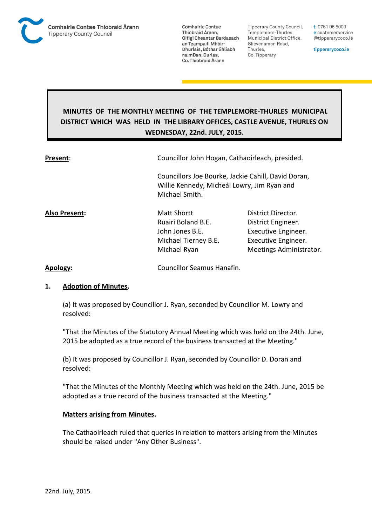

**Tipperary County Council,** Templemore-Thurles Municipal District Office, Slievenamon Road, Thurles, Co. Tipperary

t 0761 06 5000 e customerservice @tipperarycoco.ie

tipperarycoco.ie

# **MINUTES OF THE MONTHLY MEETING OF THE TEMPLEMORE-THURLES MUNICIPAL DISTRICT WHICH WAS HELD IN THE LIBRARY OFFICES, CASTLE AVENUE, THURLES ON WEDNESDAY, 22nd. JULY, 2015.**

| Present:      | Councillor John Hogan, Cathaoirleach, presided.                                              |                                                                                                                   |  |
|---------------|----------------------------------------------------------------------------------------------|-------------------------------------------------------------------------------------------------------------------|--|
|               | Willie Kennedy, Micheál Lowry, Jim Ryan and<br>Michael Smith.                                | Councillors Joe Bourke, Jackie Cahill, David Doran,                                                               |  |
| Also Present: | Matt Shortt<br>Ruairi Boland B.E.<br>John Jones B.E.<br>Michael Tierney B.E.<br>Michael Ryan | District Director.<br>District Engineer.<br>Executive Engineer.<br>Executive Engineer.<br>Meetings Administrator. |  |
|               |                                                                                              |                                                                                                                   |  |

**Apology:** Councillor Seamus Hanafin.

### **1. Adoption of Minutes.**

(a) It was proposed by Councillor J. Ryan, seconded by Councillor M. Lowry and resolved:

"That the Minutes of the Statutory Annual Meeting which was held on the 24th. June, 2015 be adopted as a true record of the business transacted at the Meeting."

(b) It was proposed by Councillor J. Ryan, seconded by Councillor D. Doran and resolved:

"That the Minutes of the Monthly Meeting which was held on the 24th. June, 2015 be adopted as a true record of the business transacted at the Meeting."

### **Matters arising from Minutes.**

The Cathaoirleach ruled that queries in relation to matters arising from the Minutes should be raised under "Any Other Business".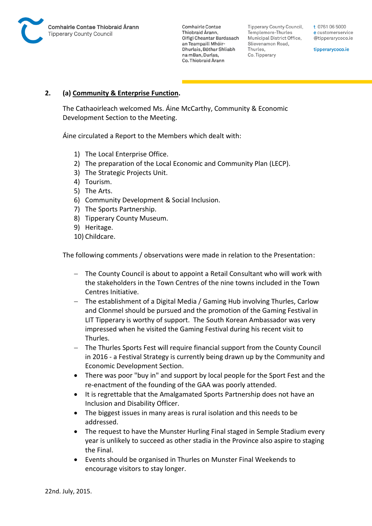

Tipperary County Council. Templemore-Thurles Municipal District Office, Slievenamon Road, Thurles, Co. Tipperary

t 0761 06 5000 e customerservice @tipperarycoco.ie

tipperarycoco.ie

# **2. (a) Community & Enterprise Function.**

The Cathaoirleach welcomed Ms. Áine McCarthy, Community & Economic Development Section to the Meeting.

Áine circulated a Report to the Members which dealt with:

- 1) The Local Enterprise Office.
- 2) The preparation of the Local Economic and Community Plan (LECP).
- 3) The Strategic Projects Unit.
- 4) Tourism.
- 5) The Arts.
- 6) Community Development & Social Inclusion.
- 7) The Sports Partnership.
- 8) Tipperary County Museum.
- 9) Heritage.
- 10) Childcare.

The following comments / observations were made in relation to the Presentation:

- The County Council is about to appoint a Retail Consultant who will work with the stakeholders in the Town Centres of the nine towns included in the Town Centres Initiative.
- The establishment of a Digital Media / Gaming Hub involving Thurles, Carlow and Clonmel should be pursued and the promotion of the Gaming Festival in LIT Tipperary is worthy of support. The South Korean Ambassador was very impressed when he visited the Gaming Festival during his recent visit to Thurles.
- The Thurles Sports Fest will require financial support from the County Council in 2016 - a Festival Strategy is currently being drawn up by the Community and Economic Development Section.
- There was poor "buy in" and support by local people for the Sport Fest and the re-enactment of the founding of the GAA was poorly attended.
- It is regrettable that the Amalgamated Sports Partnership does not have an Inclusion and Disability Officer.
- The biggest issues in many areas is rural isolation and this needs to be addressed.
- The request to have the Munster Hurling Final staged in Semple Stadium every year is unlikely to succeed as other stadia in the Province also aspire to staging the Final.
- Events should be organised in Thurles on Munster Final Weekends to encourage visitors to stay longer.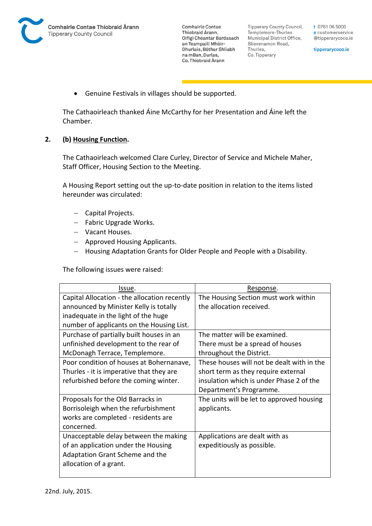**Tipperary County Council,** Templemore-Thurles Municipal District Office, Slievenamon Road, Thurles, Co. Tipperary

t 0761 06 5000 e customerservice @tipperarycoco.ie

tipperarycoco.ie

Genuine Festivals in villages should be supported.

The Cathaoirleach thanked Áine McCarthy for her Presentation and Áine left the Chamber.

## **2. (b) Housing Function.**

The Cathaoirleach welcomed Clare Curley, Director of Service and Michele Maher, Staff Officer, Housing Section to the Meeting.

A Housing Report setting out the up-to-date position in relation to the items listed hereunder was circulated:

- Capital Projects.
- Fabric Upgrade Works.
- Vacant Houses.
- Approved Housing Applicants.
- Housing Adaptation Grants for Older People and People with a Disability.

The following issues were raised:

| Issue.                                       | Response.                                  |
|----------------------------------------------|--------------------------------------------|
| Capital Allocation - the allocation recently | The Housing Section must work within       |
| announced by Minister Kelly is totally       | the allocation received.                   |
| inadequate in the light of the huge          |                                            |
| number of applicants on the Housing List.    |                                            |
| Purchase of partially built houses in an     | The matter will be examined.               |
| unfinished development to the rear of        | There must be a spread of houses           |
| McDonagh Terrace, Templemore.                | throughout the District.                   |
| Poor condition of houses at Bohernanave,     | These houses will not be dealt with in the |
| Thurles - it is imperative that they are     | short term as they require external        |
| refurbished before the coming winter.        | insulation which is under Phase 2 of the   |
|                                              | Department's Programme.                    |
| Proposals for the Old Barracks in            | The units will be let to approved housing  |
| Borrisoleigh when the refurbishment          | applicants.                                |
| works are completed - residents are          |                                            |
| concerned.                                   |                                            |
| Unacceptable delay between the making        | Applications are dealt with as             |
| of an application under the Housing          | expeditiously as possible.                 |
| Adaptation Grant Scheme and the              |                                            |
| allocation of a grant.                       |                                            |
|                                              |                                            |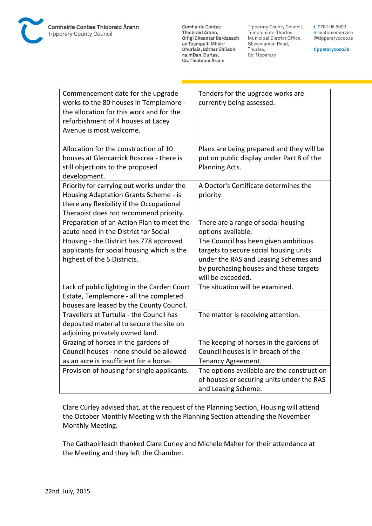

**Tipperary County Council,** Templemore-Thurles Municipal District Office, Slievenamon Road, Thurles, Co. Tipperary

t 0761 06 5000 e customerservice @tipperarycoco.ie

tipperarycoco.ie

| Commencement date for the upgrade<br>works to the 80 houses in Templemore -<br>the allocation for this work and for the<br>refurbishment of 4 houses at Lacey<br>Avenue is most welcome.                   | Tenders for the upgrade works are<br>currently being assessed.                                                                                                                                                                                      |
|------------------------------------------------------------------------------------------------------------------------------------------------------------------------------------------------------------|-----------------------------------------------------------------------------------------------------------------------------------------------------------------------------------------------------------------------------------------------------|
| Allocation for the construction of 10<br>houses at Glencarrick Roscrea - there is<br>still objections to the proposed<br>development.                                                                      | Plans are being prepared and they will be<br>put on public display under Part 8 of the<br>Planning Acts.                                                                                                                                            |
| Priority for carrying out works under the<br>Housing Adaptation Grants Scheme - is<br>there any flexibility if the Occupational<br>Therapist does not recommend priority.                                  | A Doctor's Certificate determines the<br>priority.                                                                                                                                                                                                  |
| Preparation of an Action Plan to meet the<br>acute need in the District for Social<br>Housing - the District has 778 approved<br>applicants for social housing which is the<br>highest of the 5 Districts. | There are a range of social housing<br>options available.<br>The Council has been given ambitious<br>targets to secure social housing units<br>under the RAS and Leasing Schemes and<br>by purchasing houses and these targets<br>will be exceeded. |
| Lack of public lighting in the Carden Court<br>Estate, Templemore - all the completed<br>houses are leased by the County Council.                                                                          | The situation will be examined.                                                                                                                                                                                                                     |
| Travellers at Turtulla - the Council has<br>deposited material to secure the site on<br>adjoining privately owned land.                                                                                    | The matter is receiving attention.                                                                                                                                                                                                                  |
| Grazing of horses in the gardens of<br>Council houses - none should be allowed<br>as an acre is insufficient for a horse.                                                                                  | The keeping of horses in the gardens of<br>Council houses is in breach of the<br>Tenancy Agreement.                                                                                                                                                 |
| Provision of housing for single applicants.                                                                                                                                                                | The options available are the construction<br>of houses or securing units under the RAS<br>and Leasing Scheme.                                                                                                                                      |

Clare Curley advised that, at the request of the Planning Section, Housing will attend the October Monthly Meeting with the Planning Section attending the November Monthly Meeting.

The Cathaoirleach thanked Clare Curley and Michele Maher for their attendance at the Meeting and they left the Chamber.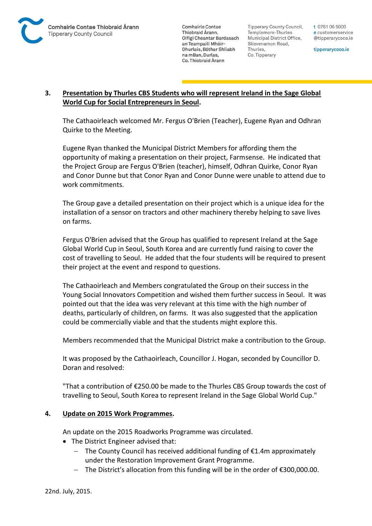

Tipperary County Council. Templemore-Thurles Municipal District Office, Slievenamon Road, Thurles, Co. Tipperary

t 0761 06 5000 e customerservice @tipperarycoco.ie

tipperarycoco.ie

# **3. Presentation by Thurles CBS Students who will represent Ireland in the Sage Global World Cup for Social Entrepreneurs in Seoul.**

The Cathaoirleach welcomed Mr. Fergus O'Brien (Teacher), Eugene Ryan and Odhran Quirke to the Meeting.

Eugene Ryan thanked the Municipal District Members for affording them the opportunity of making a presentation on their project, Farmsense. He indicated that the Project Group are Fergus O'Brien (teacher), himself, Odhran Quirke, Conor Ryan and Conor Dunne but that Conor Ryan and Conor Dunne were unable to attend due to work commitments.

The Group gave a detailed presentation on their project which is a unique idea for the installation of a sensor on tractors and other machinery thereby helping to save lives on farms.

Fergus O'Brien advised that the Group has qualified to represent Ireland at the Sage Global World Cup in Seoul, South Korea and are currently fund raising to cover the cost of travelling to Seoul. He added that the four students will be required to present their project at the event and respond to questions.

The Cathaoirleach and Members congratulated the Group on their success in the Young Social Innovators Competition and wished them further success in Seoul. It was pointed out that the idea was very relevant at this time with the high number of deaths, particularly of children, on farms. It was also suggested that the application could be commercially viable and that the students might explore this.

Members recommended that the Municipal District make a contribution to the Group.

It was proposed by the Cathaoirleach, Councillor J. Hogan, seconded by Councillor D. Doran and resolved:

"That a contribution of €250.00 be made to the Thurles CBS Group towards the cost of travelling to Seoul, South Korea to represent Ireland in the Sage Global World Cup."

# **4. Update on 2015 Work Programmes.**

An update on the 2015 Roadworks Programme was circulated.

- The District Engineer advised that:
	- $-$  The County Council has received additional funding of  $E1.4$ m approximately under the Restoration Improvement Grant Programme.
	- The District's allocation from this funding will be in the order of €300,000.00.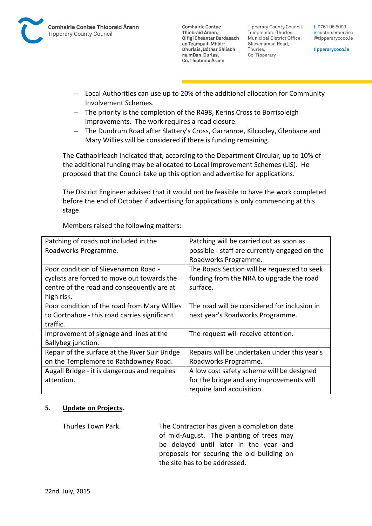

**Tipperary County Council,** Templemore-Thurles Municipal District Office, Slievenamon Road, Thurles, Co. Tipperary

t 0761 06 5000 e customerservice @tipperarycoco.ie

tipperarycoco.ie

- Local Authorities can use up to 20% of the additional allocation for Community Involvement Schemes.
- The priority is the completion of the R498, Kerins Cross to Borrisoleigh improvements. The work requires a road closure.
- The Dundrum Road after Slattery's Cross, Garranroe, Kilcooley, Glenbane and Mary Willies will be considered if there is funding remaining.

The Cathaoirleach indicated that, according to the Department Circular, up to 10% of the additional funding may be allocated to Local Improvement Schemes (LIS). He proposed that the Council take up this option and advertise for applications.

The District Engineer advised that it would not be feasible to have the work completed before the end of October if advertising for applications is only commencing at this stage.

| Patching of roads not included in the          | Patching will be carried out as soon as       |
|------------------------------------------------|-----------------------------------------------|
| Roadworks Programme.                           | possible - staff are currently engaged on the |
|                                                | Roadworks Programme.                          |
| Poor condition of Slievenamon Road -           | The Roads Section will be requested to seek   |
| cyclists are forced to move out towards the    | funding from the NRA to upgrade the road      |
| centre of the road and consequently are at     | surface.                                      |
| high risk.                                     |                                               |
| Poor condition of the road from Mary Willies   | The road will be considered for inclusion in  |
| to Gortnahoe - this road carries significant   | next year's Roadworks Programme.              |
| traffic.                                       |                                               |
| Improvement of signage and lines at the        | The request will receive attention.           |
| Ballybeg junction.                             |                                               |
| Repair of the surface at the River Suir Bridge | Repairs will be undertaken under this year's  |
| on the Templemore to Rathdowney Road.          | Roadworks Programme.                          |
| Augall Bridge - it is dangerous and requires   | A low cost safety scheme will be designed     |
| attention.                                     | for the bridge and any improvements will      |
|                                                | require land acquisition.                     |

Members raised the following matters:

### **5. Update on Projects.**

Thurles Town Park. The Contractor has given a completion date of mid-August. The planting of trees may be delayed until later in the year and proposals for securing the old building on the site has to be addressed.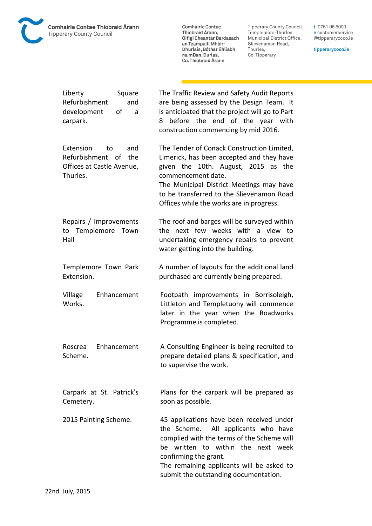

**Comhairle Contae** Commante Contae<br>Thiobraid Árann,<br>Oifigí Cheantar Bardasach an Teampaill Mhóir-<br>Dhurlais, Bóthar Shliabh na mBan, Durlas,<br>Co. Thiobraid Árann

Tipperary County Council,<br>Templemore-Thurles<br>Municipal District Office, Slievenamon Road, Thurles, Co. Tipperary

t 0761 06 5000 e customerservice @tipperarycoco.ie

tipperarycoco.ie

| Liberty<br>Square<br>Refurbishment<br>and<br>development<br>οf<br>a<br>carpark. | The Traffic Review and Safety Audit Reports<br>are being assessed by the Design Team. It<br>is anticipated that the project will go to Part<br>before the end of the year with<br>8<br>construction commencing by mid 2016.                                                           |
|---------------------------------------------------------------------------------|---------------------------------------------------------------------------------------------------------------------------------------------------------------------------------------------------------------------------------------------------------------------------------------|
| Extension                                                                       | The Tender of Conack Construction Limited,                                                                                                                                                                                                                                            |
| and                                                                             | Limerick, has been accepted and they have                                                                                                                                                                                                                                             |
| to                                                                              | given the 10th. August, 2015 as the                                                                                                                                                                                                                                                   |
| Refurbishment of                                                                | commencement date.                                                                                                                                                                                                                                                                    |
| the                                                                             | The Municipal District Meetings may have                                                                                                                                                                                                                                              |
| Offices at Castle Avenue,                                                       | to be transferred to the Slievenamon Road                                                                                                                                                                                                                                             |
| Thurles.                                                                        | Offices while the works are in progress.                                                                                                                                                                                                                                              |
| Repairs / Improvements<br>to Templemore Town<br>Hall                            | The roof and barges will be surveyed within<br>next few weeks with a view to<br>the<br>undertaking emergency repairs to prevent<br>water getting into the building.                                                                                                                   |
| Templemore Town Park                                                            | A number of layouts for the additional land                                                                                                                                                                                                                                           |
| Extension.                                                                      | purchased are currently being prepared.                                                                                                                                                                                                                                               |
| Enhancement<br>Village<br>Works.                                                | Footpath improvements in Borrisoleigh,<br>Littleton and Templetuohy will commence<br>later in the year when the Roadworks<br>Programme is completed.                                                                                                                                  |
| Enhancement                                                                     | A Consulting Engineer is being recruited to                                                                                                                                                                                                                                           |
| Roscrea                                                                         | prepare detailed plans & specification, and                                                                                                                                                                                                                                           |
| Scheme.                                                                         | to supervise the work.                                                                                                                                                                                                                                                                |
| Carpark at St. Patrick's                                                        | Plans for the carpark will be prepared as                                                                                                                                                                                                                                             |
| Cemetery.                                                                       | soon as possible.                                                                                                                                                                                                                                                                     |
| 2015 Painting Scheme.                                                           | 45 applications have been received under<br>the Scheme.<br>All applicants who have<br>complied with the terms of the Scheme will<br>be written to within the next week<br>confirming the grant.<br>The remaining applicants will be asked to<br>submit the outstanding documentation. |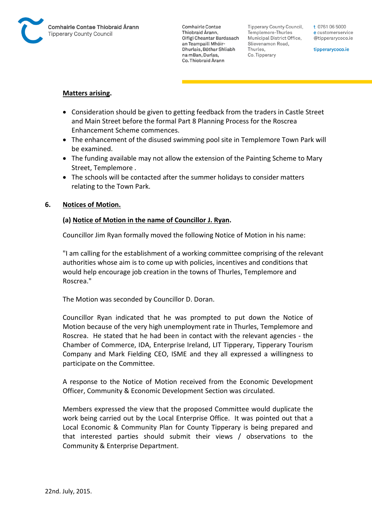

Tipperary County Council. Templemore-Thurles Municipal District Office, Slievenamon Road, Thurles, Co. Tipperary

t 0761 06 5000 e customerservice @tipperarycoco.ie

tipperarycoco.ie

#### **Matters arising.**

- Consideration should be given to getting feedback from the traders in Castle Street and Main Street before the formal Part 8 Planning Process for the Roscrea Enhancement Scheme commences.
- The enhancement of the disused swimming pool site in Templemore Town Park will be examined.
- The funding available may not allow the extension of the Painting Scheme to Mary Street, Templemore .
- The schools will be contacted after the summer holidays to consider matters relating to the Town Park.

### **6. Notices of Motion.**

#### **(a) Notice of Motion in the name of Councillor J. Ryan.**

Councillor Jim Ryan formally moved the following Notice of Motion in his name:

"I am calling for the establishment of a working committee comprising of the relevant authorities whose aim is to come up with policies, incentives and conditions that would help encourage job creation in the towns of Thurles, Templemore and Roscrea."

The Motion was seconded by Councillor D. Doran.

Councillor Ryan indicated that he was prompted to put down the Notice of Motion because of the very high unemployment rate in Thurles, Templemore and Roscrea. He stated that he had been in contact with the relevant agencies - the Chamber of Commerce, IDA, Enterprise Ireland, LIT Tipperary, Tipperary Tourism Company and Mark Fielding CEO, ISME and they all expressed a willingness to participate on the Committee.

A response to the Notice of Motion received from the Economic Development Officer, Community & Economic Development Section was circulated.

Members expressed the view that the proposed Committee would duplicate the work being carried out by the Local Enterprise Office. It was pointed out that a Local Economic & Community Plan for County Tipperary is being prepared and that interested parties should submit their views / observations to the Community & Enterprise Department.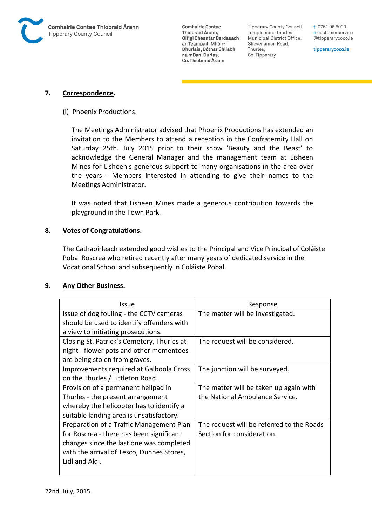

**Tipperary County Council,** Templemore-Thurles Municipal District Office, Slievenamon Road, Thurles, Co. Tipperary

t 0761 06 5000 e customerservice @tipperarycoco.ie

tipperarycoco.ie

### **7. Correspondence.**

(i) Phoenix Productions.

The Meetings Administrator advised that Phoenix Productions has extended an invitation to the Members to attend a reception in the Confraternity Hall on Saturday 25th. July 2015 prior to their show 'Beauty and the Beast' to acknowledge the General Manager and the management team at Lisheen Mines for Lisheen's generous support to many organisations in the area over the years - Members interested in attending to give their names to the Meetings Administrator.

It was noted that Lisheen Mines made a generous contribution towards the playground in the Town Park.

### **8. Votes of Congratulations.**

The Cathaoirleach extended good wishes to the Principal and Vice Principal of Coláiste Pobal Roscrea who retired recently after many years of dedicated service in the Vocational School and subsequently in Coláiste Pobal.

### **9. Any Other Business.**

| Issue                                      | Response                                  |
|--------------------------------------------|-------------------------------------------|
| Issue of dog fouling - the CCTV cameras    | The matter will be investigated.          |
| should be used to identify offenders with  |                                           |
| a view to initiating prosecutions.         |                                           |
| Closing St. Patrick's Cemetery, Thurles at | The request will be considered.           |
| night - flower pots and other mementoes    |                                           |
| are being stolen from graves.              |                                           |
| Improvements required at Galboola Cross    | The junction will be surveyed.            |
| on the Thurles / Littleton Road.           |                                           |
| Provision of a permanent helipad in        | The matter will be taken up again with    |
| Thurles - the present arrangement          | the National Ambulance Service.           |
| whereby the helicopter has to identify a   |                                           |
| suitable landing area is unsatisfactory.   |                                           |
| Preparation of a Traffic Management Plan   | The request will be referred to the Roads |
| for Roscrea - there has been significant   | Section for consideration.                |
| changes since the last one was completed   |                                           |
| with the arrival of Tesco, Dunnes Stores,  |                                           |
| Lidl and Aldi.                             |                                           |
|                                            |                                           |